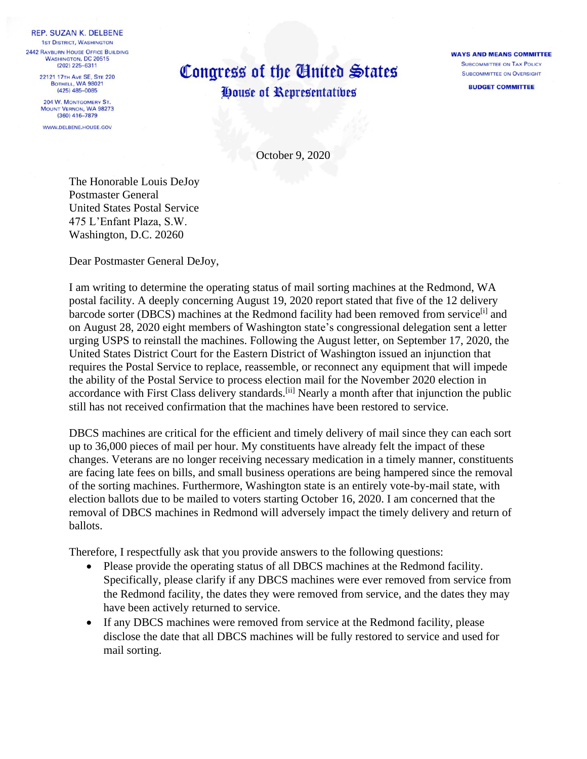REP. SUZAN K. DELBENE **1ST DISTRICT, WASHINGTON 2442 RAYBURN HOUSE OFFICE BUILDING WASHINGTON, DC 20515** 

(202) 225-6311 22121 17TH AVE SE, STE 220 BOTHELL, WA 98021  $(425)$   $485 - 0085$ 

204 W. MONTGOMERY ST. MOUNT VERNON, WA 98273  $(360)$  416-7879

WWW.DELBENE.HOUSE.GOV

## Congress of the United States House of Representatives

**WAYS AND MEANS COMMITTEE SUBCOMMITTEE ON TAX POLICY SUBCOMMITTEE ON OVERSIGHT** 

**BUDGET COMMITTEE** 

October 9, 2020

The Honorable Louis DeJoy Postmaster General United States Postal Service 475 L'Enfant Plaza, S.W. Washington, D.C. 20260

Dear Postmaster General DeJoy,

I am writing to determine the operating status of mail sorting machines at the Redmond, WA postal facility. A deeply concerning August 19, 2020 report stated that five of the 12 delivery barcode sorter (DBCS) machines at the Redmond facility had been removed from service<sup>[i]</sup> and on August 28, 2020 eight members of Washington state's congressional delegation sent a letter urging USPS to reinstall the machines. Following the August letter, on September 17, 2020, the United States District Court for the Eastern District of Washington issued an injunction that requires the Postal Service to replace, reassemble, or reconnect any equipment that will impede the ability of the Postal Service to process election mail for the November 2020 election in accordance with First Class delivery standards.<sup>[ii]</sup> Nearly a month after that injunction the public still has not received confirmation that the machines have been restored to service.

DBCS machines are critical for the efficient and timely delivery of mail since they can each sort up to 36,000 pieces of mail per hour. My constituents have already felt the impact of these changes. Veterans are no longer receiving necessary medication in a timely manner, constituents are facing late fees on bills, and small business operations are being hampered since the removal of the sorting machines. Furthermore, Washington state is an entirely vote-by-mail state, with election ballots due to be mailed to voters starting October 16, 2020. I am concerned that the removal of DBCS machines in Redmond will adversely impact the timely delivery and return of ballots.

Therefore, I respectfully ask that you provide answers to the following questions:

- Please provide the operating status of all DBCS machines at the Redmond facility. Specifically, please clarify if any DBCS machines were ever removed from service from the Redmond facility, the dates they were removed from service, and the dates they may have been actively returned to service.
- If any DBCS machines were removed from service at the Redmond facility, please disclose the date that all DBCS machines will be fully restored to service and used for mail sorting.